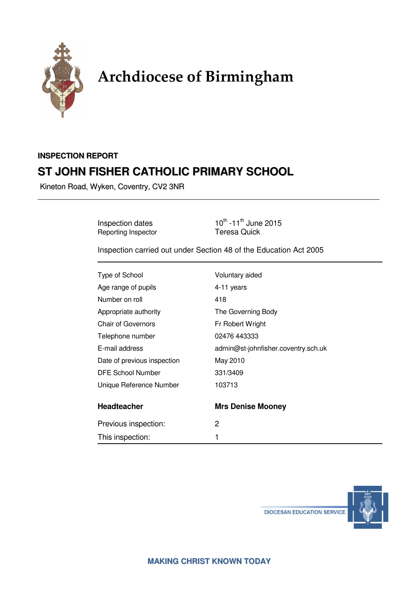

# Archdiocese of Birmingham

# **INSPECTION REPORT ST JOHN FISHER CATHOLIC PRIMARY SCHOOL**

Kineton Road, Wyken, Coventry, CV2 3NR

Reporting Inspector

Inspection dates  $10^{th}$  -11<sup>th</sup> June 2015<br>
Reporting Inspector **Teresa Quick** 

Inspection carried out under Section 48 of the Education Act 2005

| Type of School              | Voluntary aided                     |
|-----------------------------|-------------------------------------|
| Age range of pupils         | 4-11 years                          |
| Number on roll              | 418                                 |
| Appropriate authority       | The Governing Body                  |
| <b>Chair of Governors</b>   | Fr Robert Wright                    |
| Telephone number            | 02476 443333                        |
| E-mail address              | admin@st-johnfisher.coventry.sch.uk |
| Date of previous inspection | May 2010                            |
| DFE School Number           | 331/3409                            |
| Unique Reference Number     | 103713                              |
| <b>Headteacher</b>          | <b>Mrs Denise Mooney</b>            |
| Previous inspection:        | 2                                   |
| This inspection:            |                                     |

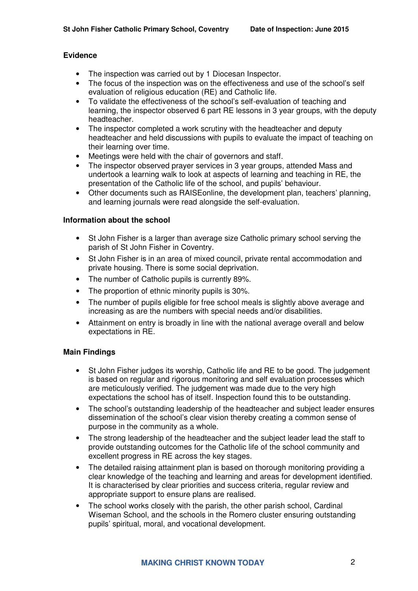#### **Evidence**

- The inspection was carried out by 1 Diocesan Inspector.
- The focus of the inspection was on the effectiveness and use of the school's self evaluation of religious education (RE) and Catholic life.
- To validate the effectiveness of the school's self-evaluation of teaching and learning, the inspector observed 6 part RE lessons in 3 year groups, with the deputy headteacher.
- The inspector completed a work scrutiny with the headteacher and deputy headteacher and held discussions with pupils to evaluate the impact of teaching on their learning over time.
- Meetings were held with the chair of governors and staff.
- The inspector observed prayer services in 3 year groups, attended Mass and undertook a learning walk to look at aspects of learning and teaching in RE, the presentation of the Catholic life of the school, and pupils' behaviour.
- Other documents such as RAISEonline, the development plan, teachers' planning, and learning journals were read alongside the self-evaluation.

#### **Information about the school**

- St John Fisher is a larger than average size Catholic primary school serving the parish of St John Fisher in Coventry.
- St John Fisher is in an area of mixed council, private rental accommodation and private housing. There is some social deprivation.
- The number of Catholic pupils is currently 89%.
- The proportion of ethnic minority pupils is 30%.
- The number of pupils eligible for free school meals is slightly above average and increasing as are the numbers with special needs and/or disabilities.
- Attainment on entry is broadly in line with the national average overall and below expectations in RE.

#### **Main Findings**

- St John Fisher judges its worship, Catholic life and RE to be good. The judgement is based on regular and rigorous monitoring and self evaluation processes which are meticulously verified. The judgement was made due to the very high expectations the school has of itself. Inspection found this to be outstanding.
- The school's outstanding leadership of the headteacher and subject leader ensures dissemination of the school's clear vision thereby creating a common sense of purpose in the community as a whole.
- The strong leadership of the headteacher and the subject leader lead the staff to provide outstanding outcomes for the Catholic life of the school community and excellent progress in RE across the key stages.
- The detailed raising attainment plan is based on thorough monitoring providing a clear knowledge of the teaching and learning and areas for development identified. It is characterised by clear priorities and success criteria, regular review and appropriate support to ensure plans are realised.
- The school works closely with the parish, the other parish school, Cardinal Wiseman School, and the schools in the Romero cluster ensuring outstanding pupils' spiritual, moral, and vocational development.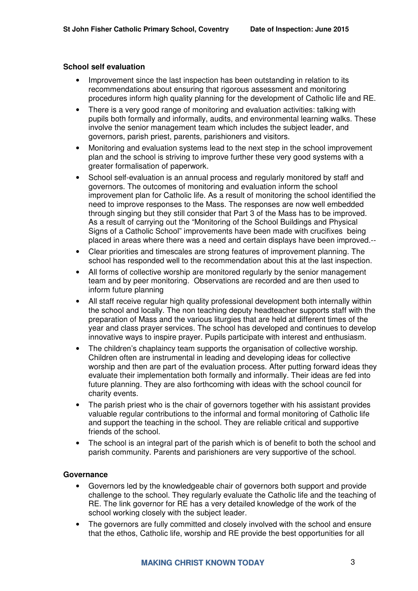#### **School self evaluation**

- Improvement since the last inspection has been outstanding in relation to its recommendations about ensuring that rigorous assessment and monitoring procedures inform high quality planning for the development of Catholic life and RE.
- There is a very good range of monitoring and evaluation activities: talking with pupils both formally and informally, audits, and environmental learning walks. These involve the senior management team which includes the subject leader, and governors, parish priest, parents, parishioners and visitors.
- Monitoring and evaluation systems lead to the next step in the school improvement plan and the school is striving to improve further these very good systems with a greater formalisation of paperwork.
- School self-evaluation is an annual process and regularly monitored by staff and governors. The outcomes of monitoring and evaluation inform the school improvement plan for Catholic life. As a result of monitoring the school identified the need to improve responses to the Mass. The responses are now well embedded through singing but they still consider that Part 3 of the Mass has to be improved. As a result of carrying out the "Monitoring of the School Buildings and Physical Signs of a Catholic School" improvements have been made with crucifixes being placed in areas where there was a need and certain displays have been improved.--
- Clear priorities and timescales are strong features of improvement planning. The school has responded well to the recommendation about this at the last inspection.
- All forms of collective worship are monitored regularly by the senior management team and by peer monitoring. Observations are recorded and are then used to inform future planning
- All staff receive regular high quality professional development both internally within the school and locally. The non teaching deputy headteacher supports staff with the preparation of Mass and the various liturgies that are held at different times of the year and class prayer services. The school has developed and continues to develop innovative ways to inspire prayer. Pupils participate with interest and enthusiasm.
- The children's chaplaincy team supports the organisation of collective worship. Children often are instrumental in leading and developing ideas for collective worship and then are part of the evaluation process. After putting forward ideas they evaluate their implementation both formally and informally. Their ideas are fed into future planning. They are also forthcoming with ideas with the school council for charity events.
- The parish priest who is the chair of governors together with his assistant provides valuable regular contributions to the informal and formal monitoring of Catholic life and support the teaching in the school. They are reliable critical and supportive friends of the school.
- The school is an integral part of the parish which is of benefit to both the school and parish community. Parents and parishioners are very supportive of the school.

#### **Governance**

- Governors led by the knowledgeable chair of governors both support and provide challenge to the school. They regularly evaluate the Catholic life and the teaching of RE. The link governor for RE has a very detailed knowledge of the work of the school working closely with the subject leader.
- The governors are fully committed and closely involved with the school and ensure that the ethos, Catholic life, worship and RE provide the best opportunities for all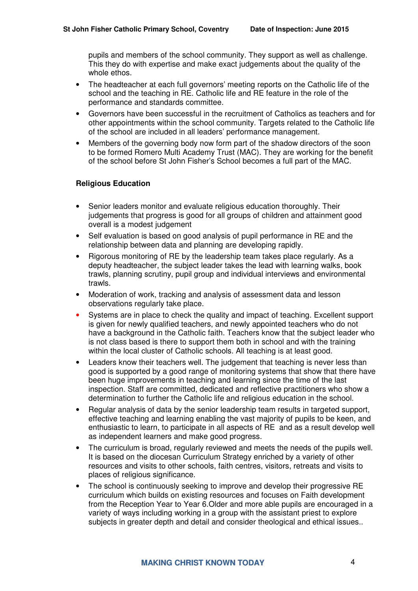pupils and members of the school community. They support as well as challenge. This they do with expertise and make exact judgements about the quality of the whole ethos.

- The headteacher at each full governors' meeting reports on the Catholic life of the school and the teaching in RE. Catholic life and RE feature in the role of the performance and standards committee.
- Governors have been successful in the recruitment of Catholics as teachers and for other appointments within the school community. Targets related to the Catholic life of the school are included in all leaders' performance management.
- Members of the governing body now form part of the shadow directors of the soon to be formed Romero Multi Academy Trust (MAC). They are working for the benefit of the school before St John Fisher's School becomes a full part of the MAC.

#### **Religious Education**

- Senior leaders monitor and evaluate religious education thoroughly. Their judgements that progress is good for all groups of children and attainment good overall is a modest judgement
- Self evaluation is based on good analysis of pupil performance in RE and the relationship between data and planning are developing rapidly.
- Rigorous monitoring of RE by the leadership team takes place regularly. As a deputy headteacher, the subject leader takes the lead with learning walks, book trawls, planning scrutiny, pupil group and individual interviews and environmental trawls.
- Moderation of work, tracking and analysis of assessment data and lesson observations regularly take place.
- Systems are in place to check the quality and impact of teaching. Excellent support is given for newly qualified teachers, and newly appointed teachers who do not have a background in the Catholic faith. Teachers know that the subject leader who is not class based is there to support them both in school and with the training within the local cluster of Catholic schools. All teaching is at least good.
- Leaders know their teachers well. The judgement that teaching is never less than good is supported by a good range of monitoring systems that show that there have been huge improvements in teaching and learning since the time of the last inspection. Staff are committed, dedicated and reflective practitioners who show a determination to further the Catholic life and religious education in the school.
- Regular analysis of data by the senior leadership team results in targeted support, effective teaching and learning enabling the vast majority of pupils to be keen, and enthusiastic to learn, to participate in all aspects of RE and as a result develop well as independent learners and make good progress.
- The curriculum is broad, regularly reviewed and meets the needs of the pupils well. It is based on the diocesan Curriculum Strategy enriched by a variety of other resources and visits to other schools, faith centres, visitors, retreats and visits to places of religious significance.
- The school is continuously seeking to improve and develop their progressive RE curriculum which builds on existing resources and focuses on Faith development from the Reception Year to Year 6.Older and more able pupils are encouraged in a variety of ways including working in a group with the assistant priest to explore subjects in greater depth and detail and consider theological and ethical issues..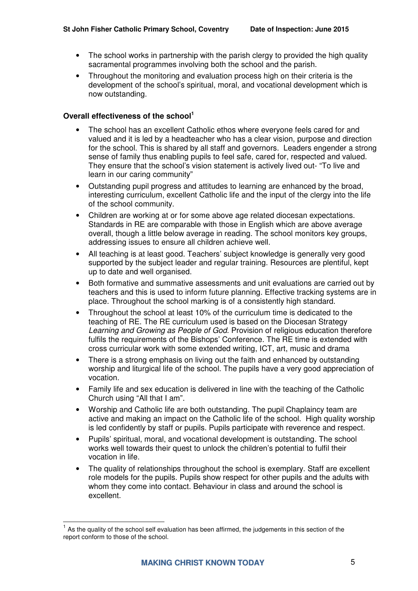- The school works in partnership with the parish clergy to provided the high quality sacramental programmes involving both the school and the parish.
- Throughout the monitoring and evaluation process high on their criteria is the development of the school's spiritual, moral, and vocational development which is now outstanding.

### **Overall effectiveness of the school<sup>1</sup>**

- The school has an excellent Catholic ethos where everyone feels cared for and valued and it is led by a headteacher who has a clear vision, purpose and direction for the school. This is shared by all staff and governors. Leaders engender a strong sense of family thus enabling pupils to feel safe, cared for, respected and valued. They ensure that the school's vision statement is actively lived out- "To live and learn in our caring community"
- Outstanding pupil progress and attitudes to learning are enhanced by the broad, interesting curriculum, excellent Catholic life and the input of the clergy into the life of the school community.
- Children are working at or for some above age related diocesan expectations. Standards in RE are comparable with those in English which are above average overall, though a little below average in reading. The school monitors key groups, addressing issues to ensure all children achieve well.
- All teaching is at least good. Teachers' subject knowledge is generally very good supported by the subject leader and regular training. Resources are plentiful, kept up to date and well organised.
- Both formative and summative assessments and unit evaluations are carried out by teachers and this is used to inform future planning. Effective tracking systems are in place. Throughout the school marking is of a consistently high standard.
- Throughout the school at least 10% of the curriculum time is dedicated to the teaching of RE. The RE curriculum used is based on the Diocesan Strategy Learning and Growing as People of God. Provision of religious education therefore fulfils the requirements of the Bishops' Conference. The RE time is extended with cross curricular work with some extended writing, ICT, art, music and drama
- There is a strong emphasis on living out the faith and enhanced by outstanding worship and liturgical life of the school. The pupils have a very good appreciation of vocation.
- Family life and sex education is delivered in line with the teaching of the Catholic Church using "All that I am".
- Worship and Catholic life are both outstanding. The pupil Chaplaincy team are active and making an impact on the Catholic life of the school. High quality worship is led confidently by staff or pupils. Pupils participate with reverence and respect.
- Pupils' spiritual, moral, and vocational development is outstanding. The school works well towards their quest to unlock the children's potential to fulfil their vocation in life.
- The quality of relationships throughout the school is exemplary. Staff are excellent role models for the pupils. Pupils show respect for other pupils and the adults with whom they come into contact. Behaviour in class and around the school is excellent.

 $\overline{a}$  $<sup>1</sup>$  As the quality of the school self evaluation has been affirmed, the judgements in this section of the</sup> report conform to those of the school.